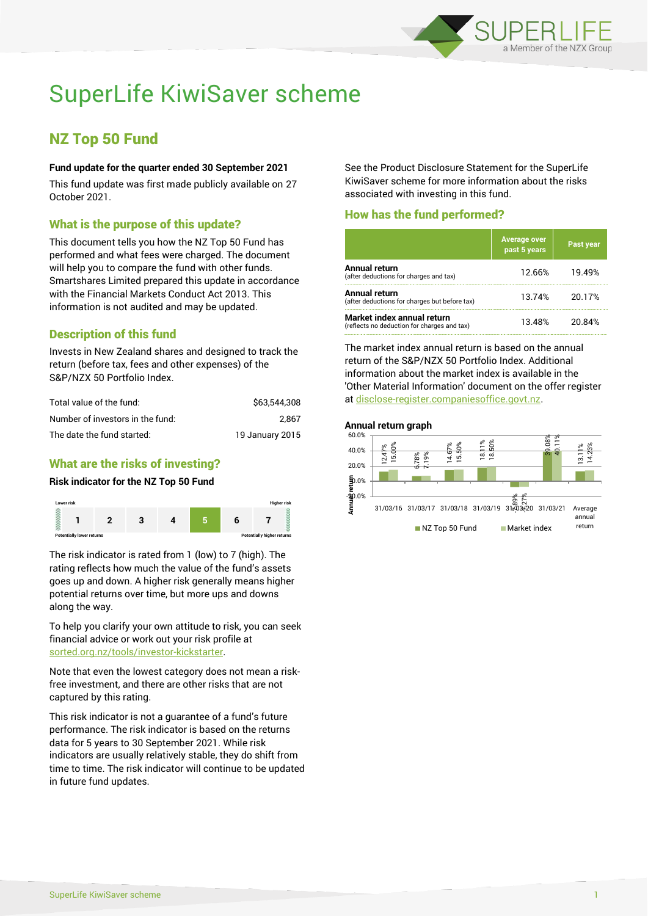

# SuperLife KiwiSaver scheme

# NZ Top 50 Fund

## **Fund update for the quarter ended 30 September 2021**

This fund update was first made publicly available on 27 October 2021.

# What is the purpose of this update?

This document tells you how the NZ Top 50 Fund has performed and what fees were charged. The document will help you to compare the fund with other funds. Smartshares Limited prepared this update in accordance with the Financial Markets Conduct Act 2013. This information is not audited and may be updated.

# Description of this fund

Invests in New Zealand shares and designed to track the return (before tax, fees and other expenses) of the S&P/NZX 50 Portfolio Index.

| Total value of the fund:         | \$63,544,308    |
|----------------------------------|-----------------|
| Number of investors in the fund: | 2.867           |
| The date the fund started:       | 19 January 2015 |

# What are the risks of investing?

#### **Risk indicator for the NZ Top 50 Fund**



The risk indicator is rated from 1 (low) to 7 (high). The rating reflects how much the value of the fund's assets goes up and down. A higher risk generally means higher potential returns over time, but more ups and downs along the way.

To help you clarify your own attitude to risk, you can seek financial advice or work out your risk profile at [sorted.org.nz/tools/investor-kickstarter.](http://www.sorted.org.nz/tools/investor-kickstarter)

Note that even the lowest category does not mean a riskfree investment, and there are other risks that are not captured by this rating.

This risk indicator is not a guarantee of a fund's future performance. The risk indicator is based on the returns data for 5 years to 30 September 2021. While risk indicators are usually relatively stable, they do shift from time to time. The risk indicator will continue to be updated in future fund updates.

See the Product Disclosure Statement for the SuperLife KiwiSaver scheme for more information about the risks associated with investing in this fund.

# How has the fund performed?

|                                                                           | <b>Average over</b><br>past 5 years | Past year |
|---------------------------------------------------------------------------|-------------------------------------|-----------|
| Annual return<br>(after deductions for charges and tax)                   | 12.66%                              | 19.49%    |
| Annual return<br>(after deductions for charges but before tax)            | 13.74%                              | 20.17%    |
| Market index annual return<br>(reflects no deduction for charges and tax) | 13.48%                              | 20.84%    |

The market index annual return is based on the annual return of the S&P/NZX 50 Portfolio Index. Additional information about the market index is available in the 'Other Material Information' document on the offer register at [disclose-register.companiesoffice.govt.nz.](http://www.disclose-register.companiesoffice.govt.nz/)

# **Annual return graph**

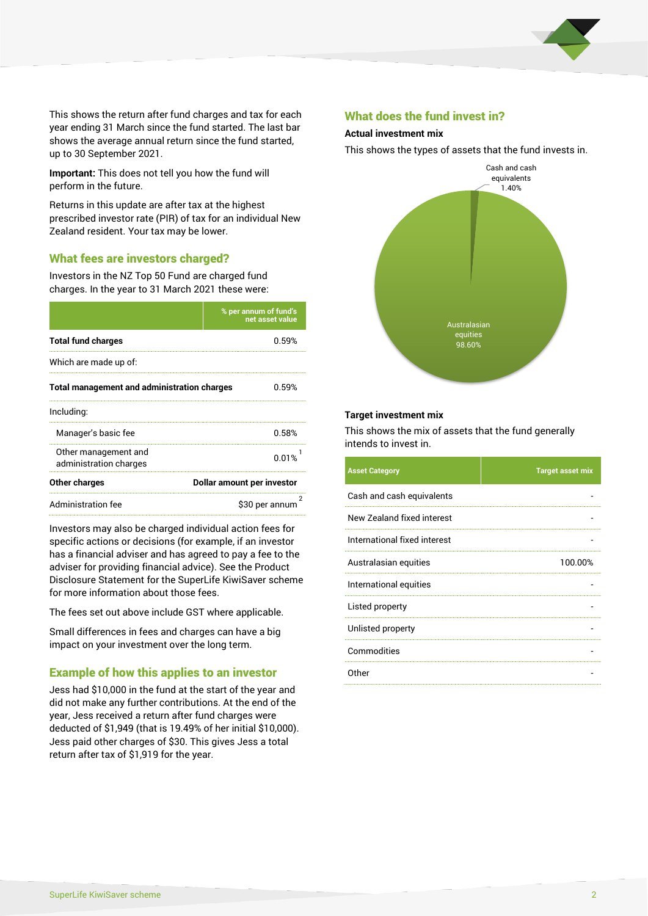

This shows the return after fund charges and tax for each year ending 31 March since the fund started. The last bar shows the average annual return since the fund started, up to 30 September 2021.

**Important:** This does not tell you how the fund will perform in the future.

Returns in this update are after tax at the highest prescribed investor rate (PIR) of tax for an individual New Zealand resident. Your tax may be lower.

# What fees are investors charged?

Investors in the NZ Top 50 Fund are charged fund charges. In the year to 31 March 2021 these were:

|                                                    | % per annum of fund's<br>net asset value |  |
|----------------------------------------------------|------------------------------------------|--|
| <b>Total fund charges</b>                          | 0.59%                                    |  |
| Which are made up of:                              |                                          |  |
| <b>Total management and administration charges</b> | 0.59%                                    |  |
| Including:                                         |                                          |  |
| Manager's basic fee                                | 0.58%                                    |  |
| Other management and<br>administration charges     | 0.01%                                    |  |
| Other charges                                      | Dollar amount per investor               |  |
| <b>Administration fee</b><br>\$30 per annum        |                                          |  |

Investors may also be charged individual action fees for specific actions or decisions (for example, if an investor has a financial adviser and has agreed to pay a fee to the adviser for providing financial advice). See the Product Disclosure Statement for the SuperLife KiwiSaver scheme for more information about those fees.

The fees set out above include GST where applicable.

Small differences in fees and charges can have a big impact on your investment over the long term.

# Example of how this applies to an investor

Jess had \$10,000 in the fund at the start of the year and did not make any further contributions. At the end of the year, Jess received a return after fund charges were deducted of \$1,949 (that is 19.49% of her initial \$10,000). Jess paid other charges of \$30. This gives Jess a total return after tax of \$1,919 for the year.

#### What does the fund invest in?

### **Actual investment mix**

This shows the types of assets that the fund invests in.



#### **Target investment mix**

This shows the mix of assets that the fund generally intends to invest in.

| <b>Asset Category</b>        | <b>Target asset mix</b> |
|------------------------------|-------------------------|
| Cash and cash equivalents    |                         |
| New Zealand fixed interest   |                         |
| International fixed interest |                         |
| Australasian equities        | 100.00%                 |
| International equities       |                         |
| Listed property              |                         |
| Unlisted property            |                         |
| Commodities                  |                         |
| Other                        |                         |